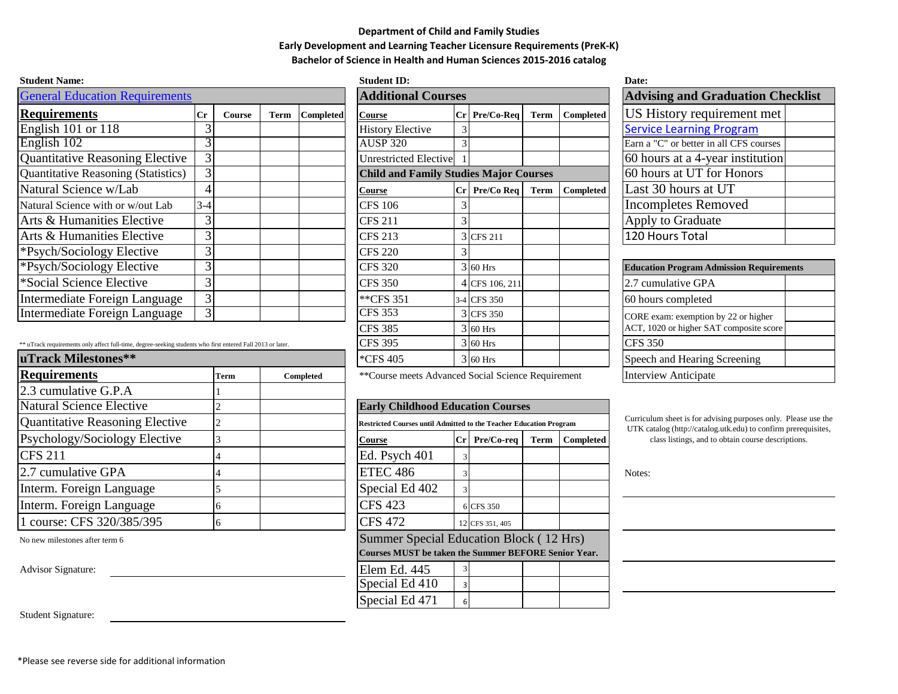## **Department of Child and Family Studies Early Development and Learning Teacher Licensure Requirements (PreK-K) Bachelor of Science in Health and Human Sciences 2015-2016 catalog**

| <b>Student Name:</b>                  |                           |        |      |                  | <b>Student ID:</b>                            |                                      |                 |      |           | Date:                                           |
|---------------------------------------|---------------------------|--------|------|------------------|-----------------------------------------------|--------------------------------------|-----------------|------|-----------|-------------------------------------------------|
| <b>General Education Requirements</b> | <b>Additional Courses</b> |        |      |                  |                                               | <b>Advising and Graduation Check</b> |                 |      |           |                                                 |
| <b>Requirements</b>                   | $C_{r}$                   | Course | Term | <b>Completed</b> | Course                                        |                                      | Cr Pre/Co-Req   | Term | Completed | US History requirement met                      |
| English $101$ or $118$                |                           |        |      |                  | <b>History Elective</b>                       | 3                                    |                 |      |           | <b>Service Learning Program</b>                 |
| English 102                           |                           |        |      |                  | <b>AUSP 320</b>                               |                                      |                 |      |           | Earn a "C" or better in all CFS courses         |
| Quantitative Reasoning Elective       | 3                         |        |      |                  | Unrestricted Elective                         |                                      |                 |      |           | 60 hours at a 4-year institution                |
| Quantitative Reasoning (Statistics)   | 3                         |        |      |                  | <b>Child and Family Studies Major Courses</b> |                                      |                 |      |           | 60 hours at UT for Honors                       |
| Natural Science w/Lab                 |                           |        |      |                  | Course                                        |                                      | $Cr$ Pre/Co Req | Term | Completed | Last 30 hours at UT                             |
| Natural Science with or w/out Lab     | $3 - 4$                   |        |      |                  | <b>CFS 106</b>                                |                                      |                 |      |           | <b>Incompletes Removed</b>                      |
| Arts & Humanities Elective            | 3                         |        |      |                  | <b>CFS 211</b>                                | 3                                    |                 |      |           | Apply to Graduate                               |
| Arts & Humanities Elective            |                           |        |      |                  | <b>CFS 213</b>                                |                                      | 3 CFS 211       |      |           | 120 Hours Total                                 |
| *Psych/Sociology Elective             |                           |        |      |                  | <b>CFS 220</b>                                | 3                                    |                 |      |           |                                                 |
| *Psych/Sociology Elective             |                           |        |      |                  | <b>CFS 320</b>                                |                                      | $3\,60$ Hrs     |      |           | <b>Education Program Admission Requirements</b> |
| *Social Science Elective              |                           |        |      |                  | <b>CFS 350</b>                                |                                      | 4 CFS 106, 211  |      |           | 2.7 cumulative GPA                              |
| Intermediate Foreign Language         | 3                         |        |      |                  | **CFS 351                                     |                                      | 3-4 CFS 350     |      |           | 60 hours completed                              |
| Intermediate Foreign Language         |                           |        |      |                  | <b>CFS 353</b>                                |                                      | 3 CFS 350       |      |           | CORE exam: exemption by 22 or higher            |

| ** uTrack requirements only affect full-time, degree-seeking students who first entered Fall 2013 or later. | CFS 395           |           | $3160$ Hrs                                                                |                                                                                       |                 | <b>CFS 350</b>               |                  |                                      |
|-------------------------------------------------------------------------------------------------------------|-------------------|-----------|---------------------------------------------------------------------------|---------------------------------------------------------------------------------------|-----------------|------------------------------|------------------|--------------------------------------|
| uTrack Milestones**                                                                                         | $\approx$ CFS 405 |           | 3 60 Hrs                                                                  |                                                                                       |                 | Speech and Hearing Screening |                  |                                      |
| <b>Requirements</b>                                                                                         | Term              | Completed | **Course meets Advanced Social Science Requirement                        | <b>Interview Anticipate</b>                                                           |                 |                              |                  |                                      |
| $2.3$ cumulative G.P.A                                                                                      |                   |           |                                                                           |                                                                                       |                 |                              |                  |                                      |
| Natural Science Elective                                                                                    |                   |           | <b>Early Childhood Education Courses</b>                                  |                                                                                       |                 |                              |                  |                                      |
| Quantitative Reasoning Elective                                                                             |                   |           | <b>Restricted Courses until Admitted to the Teacher Education Program</b> | Curriculum sheet is for advising purpose<br>UTK catalog (http://catalog.utk.edu) to o |                 |                              |                  |                                      |
| Psychology/Sociology Elective                                                                               |                   |           | Course                                                                    | Cr                                                                                    | Pre/Co-req      | <b>Term</b>                  | <b>Completed</b> | class listings, and to obtain course |
| <b>CFS 211</b>                                                                                              |                   |           | Ed. Psych 401                                                             |                                                                                       |                 |                              |                  |                                      |
| $ 2.7$ cumulative GPA                                                                                       |                   |           | <b>ETEC 486</b>                                                           |                                                                                       |                 |                              |                  | Notes:                               |
| Interm. Foreign Language                                                                                    |                   |           | Special Ed 402                                                            |                                                                                       |                 |                              |                  |                                      |
| Interm. Foreign Language                                                                                    |                   |           | <b>CFS 423</b>                                                            |                                                                                       | 6 CFS 350       |                              |                  |                                      |
| 1 course: CFS 320/385/395                                                                                   |                   |           | <b>CFS 472</b>                                                            |                                                                                       | 12 CFS 351, 405 |                              |                  |                                      |

No new milestones after term 6

Advisor Signature:

| эшист гатс.                                                                                                                                                                                                                                                                                                                                                                                                                                                                     |         |                           |      |                                   | vuuvin 11,                                    |                 |             |           | vait.                                                                                                                                                                                                                                                                                                                              |
|---------------------------------------------------------------------------------------------------------------------------------------------------------------------------------------------------------------------------------------------------------------------------------------------------------------------------------------------------------------------------------------------------------------------------------------------------------------------------------|---------|---------------------------|------|-----------------------------------|-----------------------------------------------|-----------------|-------------|-----------|------------------------------------------------------------------------------------------------------------------------------------------------------------------------------------------------------------------------------------------------------------------------------------------------------------------------------------|
| <b>General Education Requirements</b>                                                                                                                                                                                                                                                                                                                                                                                                                                           |         | <b>Additional Courses</b> |      | <b>Advising and Graduation Ch</b> |                                               |                 |             |           |                                                                                                                                                                                                                                                                                                                                    |
| <b>Requirements</b>                                                                                                                                                                                                                                                                                                                                                                                                                                                             | $C_{r}$ | <b>Course</b>             | Term | <b>Completed</b>                  | <b>Course</b>                                 | Cr Pre/Co-Req   | <b>Term</b> | Completed | US History requirement met                                                                                                                                                                                                                                                                                                         |
| English 101 or 118                                                                                                                                                                                                                                                                                                                                                                                                                                                              |         |                           |      |                                   | <b>History Elective</b>                       |                 |             |           | <b>Service Learning Program</b>                                                                                                                                                                                                                                                                                                    |
| English 102                                                                                                                                                                                                                                                                                                                                                                                                                                                                     |         |                           |      |                                   | <b>AUSP 320</b>                               |                 |             |           | Earn a "C" or better in all CFS courses                                                                                                                                                                                                                                                                                            |
| <b>Quantitative Reasoning Elective</b>                                                                                                                                                                                                                                                                                                                                                                                                                                          |         |                           |      |                                   | <b>Unrestricted Elective</b>                  |                 |             |           | 60 hours at a 4-year institution                                                                                                                                                                                                                                                                                                   |
| <b>Quantitative Reasoning (Statistics)</b>                                                                                                                                                                                                                                                                                                                                                                                                                                      | $\sim$  |                           |      |                                   | <b>Child and Family Studies Major Courses</b> |                 |             |           | 60 hours at UT for Honors                                                                                                                                                                                                                                                                                                          |
| Natural Science w/Lab                                                                                                                                                                                                                                                                                                                                                                                                                                                           |         |                           |      |                                   | <b>Course</b>                                 | $Cr$ Pre/Co Req | Term        | Completed | Last 30 hours at UT                                                                                                                                                                                                                                                                                                                |
| Natural Science with or w/out Lab                                                                                                                                                                                                                                                                                                                                                                                                                                               | $3-4$   |                           |      |                                   | <b>CFS 106</b>                                |                 |             |           | Incompletes Removed                                                                                                                                                                                                                                                                                                                |
| Arts & Humanities Elective                                                                                                                                                                                                                                                                                                                                                                                                                                                      |         |                           |      |                                   | <b>CFS 211</b>                                |                 |             |           | Apply to Graduate                                                                                                                                                                                                                                                                                                                  |
| Arts & Humanities Elective                                                                                                                                                                                                                                                                                                                                                                                                                                                      |         |                           |      |                                   | <b>CFS 213</b>                                | 3 CFS 211       |             |           | 120 Hours Total                                                                                                                                                                                                                                                                                                                    |
| *Psych/Sociology Elective                                                                                                                                                                                                                                                                                                                                                                                                                                                       |         |                           |      |                                   | <b>CFS 220</b>                                |                 |             |           |                                                                                                                                                                                                                                                                                                                                    |
| *Psych/Sociology Elective                                                                                                                                                                                                                                                                                                                                                                                                                                                       |         |                           |      |                                   | <b>CFS 320</b>                                | $3\,60$ Hrs     |             |           | <b>Education Program Admission Requirer</b>                                                                                                                                                                                                                                                                                        |
| *Social Science Elective                                                                                                                                                                                                                                                                                                                                                                                                                                                        |         |                           |      |                                   | <b>CFS 350</b>                                | 4 CFS 106, 211  |             |           | 2.7 cumulative GPA                                                                                                                                                                                                                                                                                                                 |
| Intermediate Foreign Language                                                                                                                                                                                                                                                                                                                                                                                                                                                   | 3       |                           |      |                                   | **CFS 351                                     | 3-4 CFS 350     |             |           | 60 hours completed                                                                                                                                                                                                                                                                                                                 |
| Intermediate Foreign Language                                                                                                                                                                                                                                                                                                                                                                                                                                                   | 3       |                           |      |                                   | <b>CFS 353</b>                                | 3 CFS 350       |             |           | CORE exam: exemption by 22 or higher                                                                                                                                                                                                                                                                                               |
|                                                                                                                                                                                                                                                                                                                                                                                                                                                                                 |         |                           |      |                                   | <b>CFS 385</b>                                | $3 60$ Hrs      |             |           | ACT, 1020 or higher SAT composite score                                                                                                                                                                                                                                                                                            |
| ** uTrack requirements only affect full-time, degree-seeking students who first entered Fall 2013 or later.                                                                                                                                                                                                                                                                                                                                                                     |         |                           |      |                                   | <b>CFS 395</b>                                | $3 60$ Hrs      |             |           | <b>CFS 350</b>                                                                                                                                                                                                                                                                                                                     |
| $\blacksquare$ The set $\blacksquare$ $\blacksquare$ $\blacksquare$ $\blacksquare$ $\blacksquare$ $\blacksquare$ $\blacksquare$ $\blacksquare$ $\blacksquare$ $\blacksquare$ $\blacksquare$ $\blacksquare$ $\blacksquare$ $\blacksquare$ $\blacksquare$ $\blacksquare$ $\blacksquare$ $\blacksquare$ $\blacksquare$ $\blacksquare$ $\blacksquare$ $\blacksquare$ $\blacksquare$ $\blacksquare$ $\blacksquare$ $\blacksquare$ $\blacksquare$ $\blacksquare$ $\blacksquare$ $\bl$ |         |                           |      |                                   | 0.000107                                      |                 |             |           | $\mathbf{1}$ $\mathbf{1}$ $\mathbf{1}$ $\mathbf{1}$ $\mathbf{1}$ $\mathbf{1}$ $\mathbf{1}$ $\mathbf{1}$ $\mathbf{1}$ $\mathbf{1}$ $\mathbf{1}$ $\mathbf{1}$ $\mathbf{1}$ $\mathbf{1}$ $\mathbf{1}$ $\mathbf{1}$ $\mathbf{1}$ $\mathbf{1}$ $\mathbf{1}$ $\mathbf{1}$ $\mathbf{1}$ $\mathbf{1}$ $\mathbf{1}$ $\mathbf{1}$ $\mathbf{$ |

**Advising and Graduation Checklist** [Service Learning Program](http://ehhsstudentservices.utk.edu/information-for-current-students/service-learning-honors-program/) Earn a "C" or better in all CFS courses  $60$  hours at a 4-year institution 60 hours at UT for Honors Last 30 hours at UT Incompletes Removed Apply to Graduate 120 Hours Total

| <b>Education Program Admission Requirements</b>                                 |  |  |  |  |  |  |  |
|---------------------------------------------------------------------------------|--|--|--|--|--|--|--|
| 2.7 cumulative GPA                                                              |  |  |  |  |  |  |  |
| 60 hours completed                                                              |  |  |  |  |  |  |  |
| CORE exam: exemption by 22 or higher<br>ACT, 1020 or higher SAT composite score |  |  |  |  |  |  |  |
| <b>CFS 350</b>                                                                  |  |  |  |  |  |  |  |
| Speech and Hearing Screening                                                    |  |  |  |  |  |  |  |
| Interview Anticipate                                                            |  |  |  |  |  |  |  |

| <b>Early United Could Equeation Courses</b>                        |             |                 |      |           |  |  |  |  |  |  |
|--------------------------------------------------------------------|-------------|-----------------|------|-----------|--|--|--|--|--|--|
| Restricted Courses until Admitted to the Teacher Education Program |             |                 |      |           |  |  |  |  |  |  |
| Course                                                             | $_{\rm Cr}$ | Pre/Co-req      | Term | Completed |  |  |  |  |  |  |
| Ed. Psych 401                                                      | 3           |                 |      |           |  |  |  |  |  |  |
| <b>ETEC 486</b>                                                    | 3           |                 |      |           |  |  |  |  |  |  |
| Special Ed 402                                                     | 3           |                 |      |           |  |  |  |  |  |  |
| <b>CFS 423</b>                                                     | 6           | <b>CFS 350</b>  |      |           |  |  |  |  |  |  |
| <b>CFS 472</b>                                                     |             | 12 CFS 351, 405 |      |           |  |  |  |  |  |  |
| Summer Special Education Block (12 Hrs)                            |             |                 |      |           |  |  |  |  |  |  |
| <b>Courses MUST be taken the Summer BEFORE Senior Year.</b>        |             |                 |      |           |  |  |  |  |  |  |
| Elem Ed. 445                                                       | 3           |                 |      |           |  |  |  |  |  |  |
| Special Ed 410                                                     | ς           |                 |      |           |  |  |  |  |  |  |
| Special Ed 471                                                     | 6           |                 |      |           |  |  |  |  |  |  |

Curriculum sheet is for advising purposes only. Please use the UTK catalog (http://catalog.utk.edu) to confirm prerequisites, class listings, and to obtain course descriptions.

Student Signature: